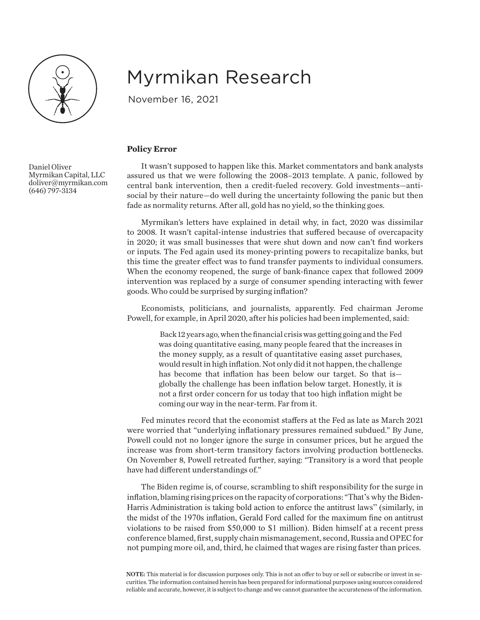

## Myrmikan Research

November 16, 2021

## **Policy Error**

It wasn't supposed to happen like this. Market commentators and bank analysts assured us that we were following the 2008–2013 template. A panic, followed by central bank intervention, then a credit-fueled recovery. Gold investments—antisocial by their nature—do well during the uncertainty following the panic but then fade as normality returns. After all, gold has no yield, so the thinking goes.

Myrmikan's letters have explained in detail why, in fact, 2020 was dissimilar to 2008. It wasn't capital-intense industries that suffered because of overcapacity in 2020; it was small businesses that were shut down and now can't find workers or inputs. The Fed again used its money-printing powers to recapitalize banks, but this time the greater effect was to fund transfer payments to individual consumers. When the economy reopened, the surge of bank-finance capex that followed 2009 intervention was replaced by a surge of consumer spending interacting with fewer goods. Who could be surprised by surging inflation?

Economists, politicians, and journalists, apparently. Fed chairman Jerome Powell, for example, in April 2020, after his policies had been implemented, said:

> Back 12 years ago, when the financial crisis was getting going and the Fed was doing quantitative easing, many people feared that the increases in the money supply, as a result of quantitative easing asset purchases, would result in high inflation. Not only did it not happen, the challenge has become that inflation has been below our target. So that is globally the challenge has been inflation below target. Honestly, it is not a first order concern for us today that too high inflation might be coming our way in the near-term. Far from it.

Fed minutes record that the economist staffers at the Fed as late as March 2021 were worried that "underlying inflationary pressures remained subdued." By June, Powell could not no longer ignore the surge in consumer prices, but he argued the increase was from short-term transitory factors involving production bottlenecks. On November 8, Powell retreated further, saying: "Transitory is a word that people have had different understandings of."

The Biden regime is, of course, scrambling to shift responsibility for the surge in inflation, blaming rising prices on the rapacity of corporations: "That's why the Biden-Harris Administration is taking bold action to enforce the antitrust laws" (similarly, in the midst of the 1970s inflation, Gerald Ford called for the maximum fine on antitrust violations to be raised from \$50,000 to \$1 million). Biden himself at a recent press conference blamed, first, supply chain mismanagement, second, Russia and OPEC for not pumping more oil, and, third, he claimed that wages are rising faster than prices.

NOTE: This material is for discussion purposes only. This is not an offer to buy or sell or subscribe or invest in securities. The information contained herein has been prepared for informational purposes using sources considered reliable and accurate, however, it is subject to change and we cannot guarantee the accurateness of the information.

Daniel Oliver Myrmikan Capital, LLC doliver@myrmikan.com (646) 797-3134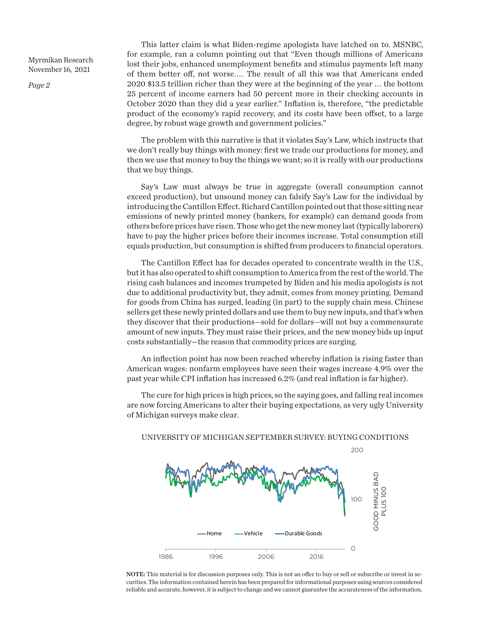Myrmikan Research November 16, 2021

*Page 2*

This latter claim is what Biden-regime apologists have latched on to. MSNBC, for example, ran a column pointing out that "Even though millions of Americans lost their jobs, enhanced unemployment benefits and stimulus payments left many of them better off, not worse. . . . The result of all this was that Americans ended 2020 \$13.5 trillion richer than they were at the beginning of the year . . . the bottom 25 percent of income earners had 50 percent more in their checking accounts in October 2020 than they did a year earlier." Inflation is, therefore, "the predictable product of the economy's rapid recovery, and its costs have been offset, to a large degree, by robust wage growth and government policies."

The problem with this narrative is that it violates Say's Law, which instructs that we don't really buy things with money: first we trade our productions for money, and then we use that money to buy the things we want; so it is really with our productions that we buy things.

Say's Law must always be true in aggregate (overall consumption cannot exceed production), but unsound money can falsify Say's Law for the individual by introducing the Cantillon Effect. Richard Cantillon pointed out that those sitting near emissions of newly printed money (bankers, for example) can demand goods from others before prices have risen. Those who get the new money last (typically laborers) have to pay the higher prices before their incomes increase. Total consumption still equals production, but consumption is shifted from producers to financial operators.

The Cantillon Effect has for decades operated to concentrate wealth in the U.S., but it has also operated to shift consumption to America from the rest of the world. The rising cash balances and incomes trumpeted by Biden and his media apologists is not due to additional productivity but, they admit, comes from money printing. Demand for goods from China has surged, leading (in part) to the supply chain mess. Chinese sellers get these newly printed dollars and use them to buy new inputs, and that's when they discover that their productions—sold for dollars—will not buy a commensurate amount of new inputs. They must raise their prices, and the new money bids up input costs substantially—the reason that commodity prices are surging.

An inflection point has now been reached whereby inflation is rising faster than American wages: nonfarm employees have seen their wages increase 4.9% over the past year while CPI inflation has increased 6.2% (and real inflation is far higher).

The cure for high prices is high prices, so the saying goes, and falling real incomes are now forcing Americans to alter their buying expectations, as very ugly University of Michigan surveys make clear.



NOTE: This material is for discussion purposes only. This is not an offer to buy or sell or subscribe or invest in securities. The information contained herein has been prepared for informational purposes using sources considered reliable and accurate, however, it is subject to change and we cannot guarantee the accurateness of the information.